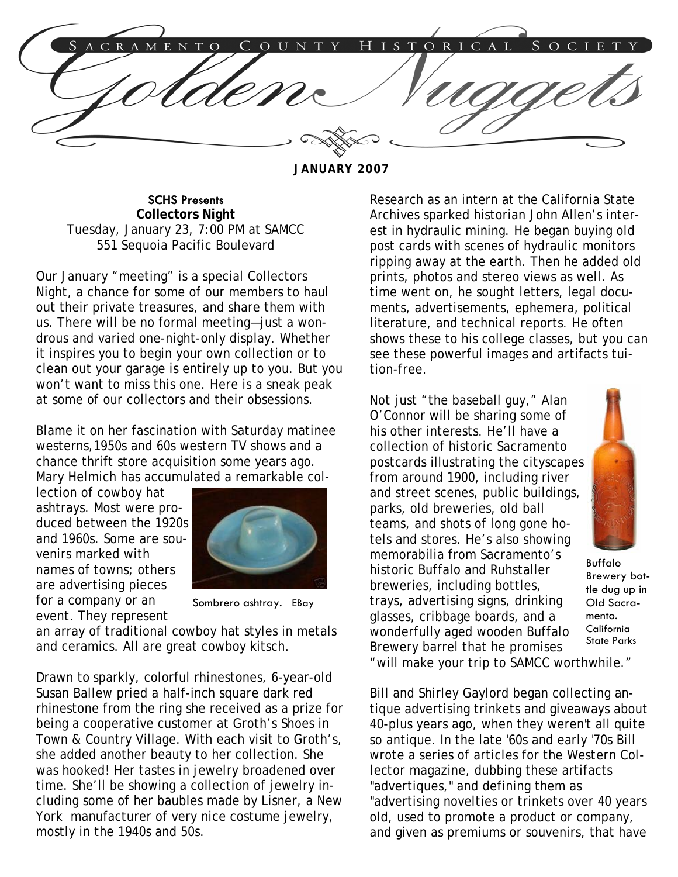COUN ISTORICAL E N T

**JANUARY 2007** 

SCHS Presents **Collectors Night**  Tuesday, January 23, 7:00 PM at SAMCC 551 Sequoia Pacific Boulevard

Our January "meeting" is a special Collectors Night, a chance for some of our members to haul out their private treasures, and share them with us. There will be no formal meeting—just a wondrous and varied one-night-only display. Whether it inspires you to begin your own collection or to clean out your garage is entirely up to you. But you won't want to miss this one. Here is a sneak peak at some of our collectors and their obsessions.

Blame it on her fascination with Saturday matinee westerns,1950s and 60s western TV shows and a chance thrift store acquisition some years ago. Mary Helmich has accumulated a remarkable col-

lection of cowboy hat ashtrays. Most were produced between the 1920s and 1960s. Some are souvenirs marked with names of towns; others are advertising pieces for a company or an event. They represent



Sombrero ashtray. EBay

an array of traditional cowboy hat styles in metals and ceramics. All are great cowboy kitsch.

Drawn to sparkly, colorful rhinestones, 6-year-old Susan Ballew pried a half-inch square dark red rhinestone from the ring she received as a prize for being a cooperative customer at Groth's Shoes in Town & Country Village. With each visit to Groth's, she added another beauty to her collection. She was hooked! Her tastes in jewelry broadened over time. She'll be showing a collection of jewelry including some of her baubles made by Lisner, a New York manufacturer of very nice costume jewelry, mostly in the 1940s and 50s.

Research as an intern at the California State Archives sparked historian John Allen's interest in hydraulic mining. He began buying old post cards with scenes of hydraulic monitors ripping away at the earth. Then he added old prints, photos and stereo views as well. As time went on, he sought letters, legal documents, advertisements, ephemera, political literature, and technical reports. He often shows these to his college classes, but you can see these powerful images and artifacts tuition-free.

Not just "the baseball guy," Alan O'Connor will be sharing some of his other interests. He'll have a collection of historic Sacramento postcards illustrating the cityscapes from around 1900, including river and street scenes, public buildings, parks, old breweries, old ball teams, and shots of long gone hotels and stores. He's also showing memorabilia from Sacramento's historic Buffalo and Ruhstaller breweries, including bottles, trays, advertising signs, drinking glasses, cribbage boards, and a wonderfully aged wooden Buffalo Brewery barrel that he promises



Buffalo Brewery bottle dug up in Old Sacramento. California State Parks

"will make your trip to SAMCC worthwhile."

Bill and Shirley Gaylord began collecting antique advertising trinkets and giveaways about 40-plus years ago, when they weren't all quite so antique. In the late '60s and early '70s Bill wrote a series of articles for the *Western Collector* magazine, dubbing these artifacts "advertiques," and defining them as "advertising novelties or trinkets over 40 years old, used to promote a product or company, and given as premiums or souvenirs, that have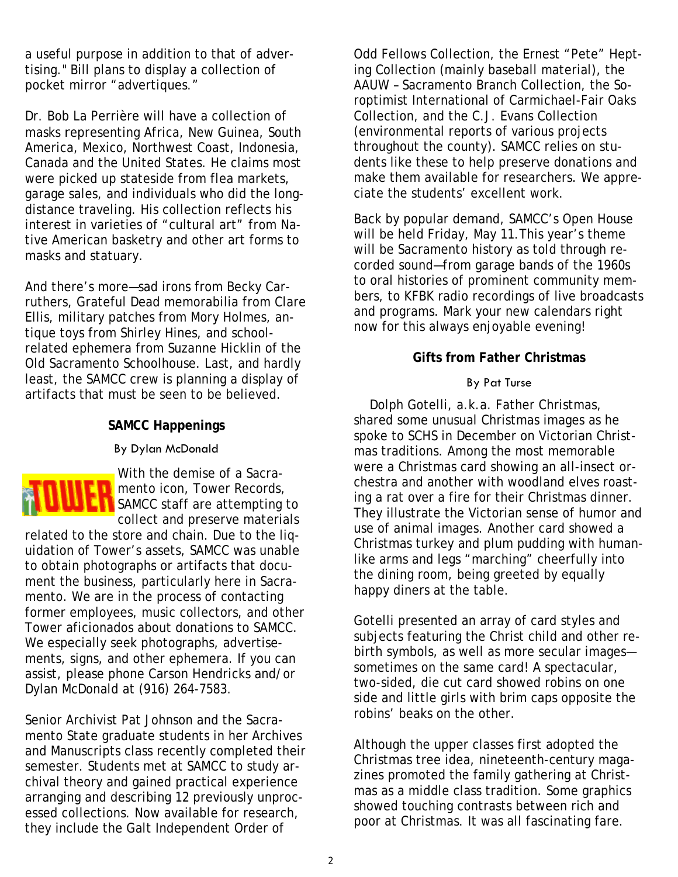a useful purpose in addition to that of advertising." Bill plans to display a collection of pocket mirror "advertiques."

Dr. Bob La Perrière will have a collection of masks representing Africa, New Guinea, South America, Mexico, Northwest Coast, Indonesia, Canada and the United States. He claims most were picked up stateside from flea markets, garage sales, and individuals who did the longdistance traveling. His collection reflects his interest in varieties of "cultural art" from Native American basketry and other art forms to masks and statuary.

And there's more—sad irons from Becky Carruthers, Grateful Dead memorabilia from Clare Ellis, military patches from Mory Holmes, antique toys from Shirley Hines, and schoolrelated ephemera from Suzanne Hicklin of the Old Sacramento Schoolhouse. Last, and hardly least, the SAMCC crew is planning a display of artifacts that must be seen to be believed.

## **SAMCC Happenings**

#### By Dylan McDonald



With the demise of a Sacra-**M** mento icon, Tower Records, **SAMCC** staff are attempting to collect and preserve materials

related to the store and chain. Due to the liquidation of Tower's assets, SAMCC was unable to obtain photographs or artifacts that document the business, particularly here in Sacramento. We are in the process of contacting former employees, music collectors, and other Tower aficionados about donations to SAMCC. We especially seek photographs, advertisements, signs, and other ephemera. If you can assist, please phone Carson Hendricks and/or Dylan McDonald at (916) 264-7583.

Senior Archivist Pat Johnson and the Sacramento State graduate students in her Archives and Manuscripts class recently completed their semester. Students met at SAMCC to study archival theory and gained practical experience arranging and describing 12 previously unprocessed collections. Now available for research, they include the Galt Independent Order of

Odd Fellows Collection, the Ernest "Pete" Hepting Collection (mainly baseball material), the AAUW – Sacramento Branch Collection, the Soroptimist International of Carmichael-Fair Oaks Collection, and the C.J. Evans Collection (environmental reports of various projects throughout the county). SAMCC relies on students like these to help preserve donations and make them available for researchers. We appreciate the students' excellent work.

Back by popular demand, SAMCC's Open House will be held Friday, May 11.This year's theme will be Sacramento history as told through recorded sound—from garage bands of the 1960s to oral histories of prominent community members, to KFBK radio recordings of live broadcasts and programs. Mark your new calendars right now for this always enjoyable evening!

## **Gifts from Father Christmas**

#### By Pat Turse

 Dolph Gotelli, a.k.a. Father Christmas, shared some unusual Christmas images as he spoke to SCHS in December on Victorian Christmas traditions. Among the most memorable were a Christmas card showing an all-insect orchestra and another with woodland elves roasting a rat over a fire for their Christmas dinner. They illustrate the Victorian sense of humor and use of animal images. Another card showed a Christmas turkey and plum pudding with humanlike arms and legs "marching" cheerfully into the dining room, being greeted by equally happy diners at the table.

Gotelli presented an array of card styles and subjects featuring the Christ child and other rebirth symbols, as well as more secular images sometimes on the same card! A spectacular, two-sided, die cut card showed robins on one side and little girls with brim caps opposite the robins' beaks on the other.

Although the upper classes first adopted the Christmas tree idea, nineteenth-century magazines promoted the family gathering at Christmas as a middle class tradition. Some graphics showed touching contrasts between rich and poor at Christmas. It was all fascinating fare.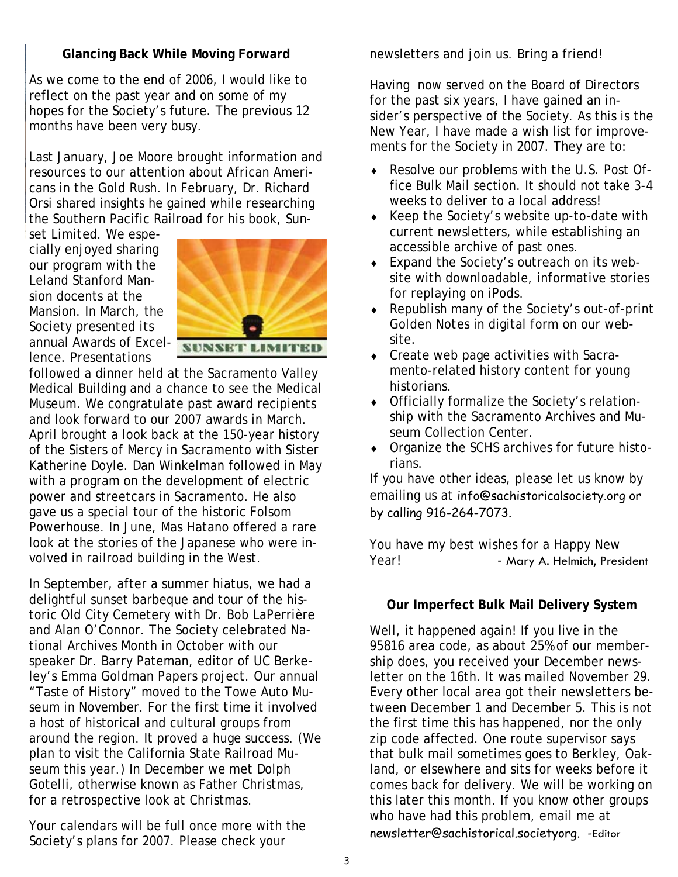## **Glancing Back While Moving Forward**

As we come to the end of 2006, I would like to reflect on the past year and on some of my hopes for the Society's future. The previous 12 months have been very busy.

Last January, Joe Moore brought information and resources to our attention about African Americans in the Gold Rush. In February, Dr. Richard Orsi shared insights he gained while researching the Southern Pacific Railroad for his book, *Sun-*

*set Limited.* We especially enjoyed sharing our program with the Leland Stanford Mansion docents at the Mansion. In March, the Society presented its annual Awards of Excellence. Presentations



**SUNSET LIMITED** 

followed a dinner held at the Sacramento Valley Medical Building and a chance to see the Medical Museum. We congratulate past award recipients and look forward to our 2007 awards in March. April brought a look back at the 150-year history of the Sisters of Mercy in Sacramento with Sister Katherine Doyle. Dan Winkelman followed in May with a program on the development of electric power and streetcars in Sacramento. He also gave us a special tour of the historic Folsom Powerhouse. In June, Mas Hatano offered a rare look at the stories of the Japanese who were involved in railroad building in the West.

In September, after a summer hiatus, we had a delightful sunset barbeque and tour of the historic Old City Cemetery with Dr. Bob LaPerrière and Alan O'Connor. The Society celebrated National Archives Month in October with our speaker Dr. Barry Pateman, editor of UC Berkeley's Emma Goldman Papers project. Our annual "Taste of History" moved to the Towe Auto Museum in November. For the first time it involved a host of historical and cultural groups from around the region. It proved a huge success. (We plan to visit the California State Railroad Museum this year.) In December we met Dolph Gotelli, otherwise known as Father Christmas, for a retrospective look at Christmas.

Your calendars will be full once more with the Society's plans for 2007. Please check your

newsletters and join us. Bring a friend!

Having now served on the Board of Directors for the past six years, I have gained an insider's perspective of the Society. As this is the New Year, I have made a wish list for improvements for the Society in 2007. They are to:

- ♦ Resolve our problems with the U.S. Post Office Bulk Mail section. It should not take 3-4 weeks to deliver to a local address!
- ♦ Keep the Society's website up-to-date with current newsletters, while establishing an accessible archive of past ones.
- ♦ Expand the Society's outreach on its website with downloadable, informative stories for replaying on iPods.
- ♦ Republish many of the Society's out-of-print *Golden Notes* in digital form on our website.
- ♦ Create web page activities with Sacramento-related history content for young historians.
- ♦ Officially formalize the Society's relationship with the Sacramento Archives and Museum Collection Center.
- ♦ Organize the SCHS archives for future historians.

If you have other ideas, please let us know by emailing us at info@sachistoricalsociety.org or by calling 916-264-7073.

You have my best wishes for a Happy New Year! - Mary A. Helmich, President

### **Our Imperfect Bulk Mail Delivery System**

Well, it happened again! If you live in the 95816 area code, as about 25% of our membership does, you received your December newsletter on the 16th. It was mailed November 29. Every other local area got their newsletters between December 1 and December 5. This is not the first time this has happened, nor the only zip code affected. One route supervisor says that bulk mail sometimes goes to Berkley, Oakland, or elsewhere and sits for weeks before it comes back for delivery. We will be working on this later this month. If you know other groups who have had this problem, email me at newsletter@sachistorical.societyorg. -Editor